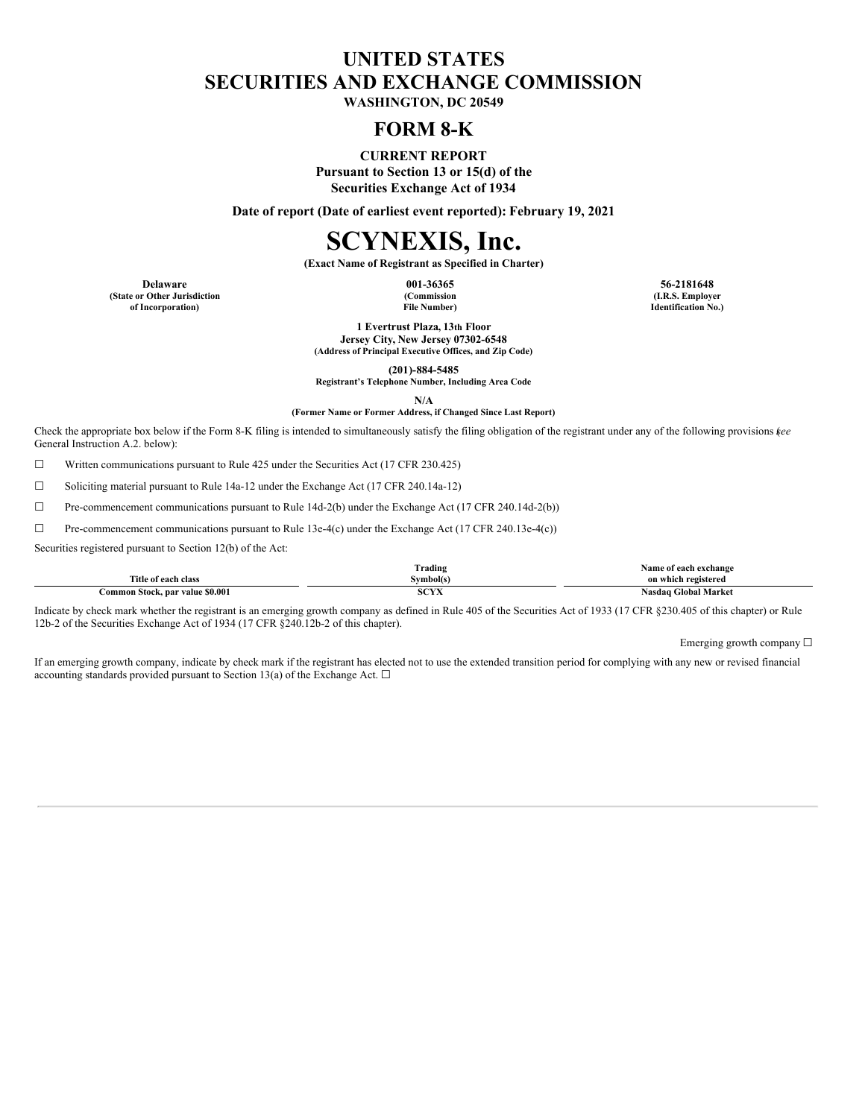## **UNITED STATES SECURITIES AND EXCHANGE COMMISSION**

**WASHINGTON, DC 20549**

### **FORM 8-K**

**CURRENT REPORT Pursuant to Section 13 or 15(d) of the Securities Exchange Act of 1934**

**Date of report (Date of earliest event reported): February 19, 2021**

# **SCYNEXIS, Inc.**

**(Exact Name of Registrant as Specified in Charter)**

**(State or Other Jurisdiction of Incorporation)**

**(Commission File Number)**

**Delaware 001-36365 56-2181648 (I.R.S. Employer Identification No.)**

> **1 Evertrust Plaza, 13th Floor Jersey City, New Jersey 07302-6548 (Address of Principal Executive Offices, and Zip Code)**

> > **(201)-884-5485**

**Registrant's Telephone Number, Including Area Code**

**N/A**

**(Former Name or Former Address, if Changed Since Last Report)**

Check the appropriate box below if the Form 8-K filing is intended to simultaneously satisfy the filing obligation of the registrant under any of the following provisions (*see* General Instruction A.2. below):

☐ Written communications pursuant to Rule 425 under the Securities Act (17 CFR 230.425)

☐ Soliciting material pursuant to Rule 14a-12 under the Exchange Act (17 CFR 240.14a-12)

☐ Pre-commencement communications pursuant to Rule 14d-2(b) under the Exchange Act (17 CFR 240.14d-2(b))

☐ Pre-commencement communications pursuant to Rule 13e-4(c) under the Exchange Act (17 CFR 240.13e-4(c))

Securities registered pursuant to Section 12(b) of the Act:

|                                 | Trading        | . vame<br>e of each exchange            |
|---------------------------------|----------------|-----------------------------------------|
| Title of each class             | svmbol(s)      | on which registered                     |
| Common Stock, par value \$0.001 | 0.0375<br>5.14 | <b>Global Market</b><br>Nasdag <b>C</b> |

Indicate by check mark whether the registrant is an emerging growth company as defined in Rule 405 of the Securities Act of 1933 (17 CFR §230.405 of this chapter) or Rule 12b-2 of the Securities Exchange Act of 1934 (17 CFR §240.12b-2 of this chapter).

Emerging growth company  $\Box$ 

If an emerging growth company, indicate by check mark if the registrant has elected not to use the extended transition period for complying with any new or revised financial accounting standards provided pursuant to Section 13(a) of the Exchange Act.  $\square$